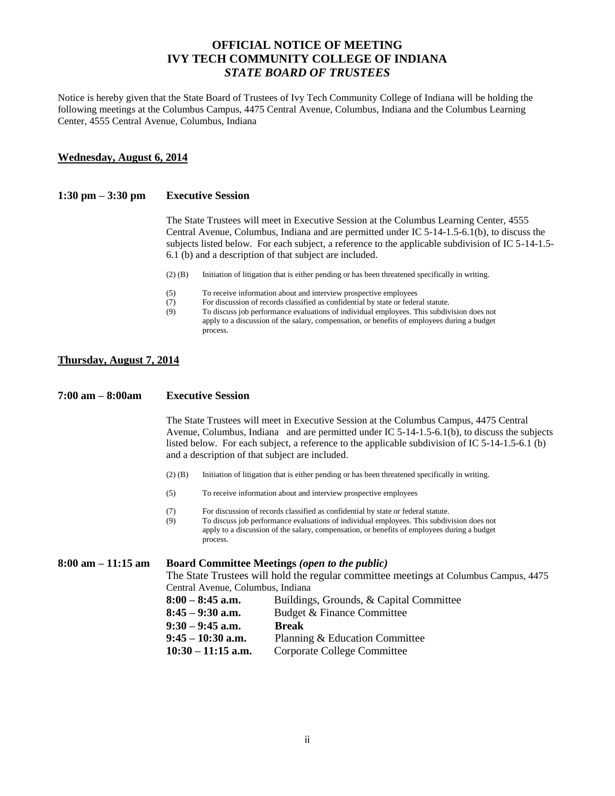# **OFFICIAL NOTICE OF MEETING IVY TECH COMMUNITY COLLEGE OF INDIANA** *STATE BOARD OF TRUSTEES*

Notice is hereby given that the State Board of Trustees of Ivy Tech Community College of Indiana will be holding the following meetings at the Columbus Campus, 4475 Central Avenue, Columbus, Indiana and the Columbus Learning Center, 4555 Central Avenue, Columbus, Indiana

### **Wednesday, August 6, 2014**

#### **1:30 pm – 3:30 pm Executive Session**

The State Trustees will meet in Executive Session at the Columbus Learning Center, 4555 Central Avenue, Columbus, Indiana and are permitted under IC 5-14-1.5-6.1(b), to discuss the subjects listed below. For each subject, a reference to the applicable subdivision of IC 5-14-1.5- 6.1 (b) and a description of that subject are included.

- (2) (B) Initiation of litigation that is either pending or has been threatened specifically in writing.
- (5) To receive information about and interview prospective employees
- (7) For discussion of records classified as confidential by state or federal statute.
- (9) To discuss job performance evaluations of individual employees. This subdivision does not apply to a discussion of the salary, compensation, or benefits of employees during a budget process.

### **Thursday, August 7, 2014**

#### **7:00 am – 8:00am Executive Session**

The State Trustees will meet in Executive Session at the Columbus Campus, 4475 Central Avenue, Columbus, Indiana and are permitted under IC 5-14-1.5-6.1(b), to discuss the subjects listed below. For each subject, a reference to the applicable subdivision of IC 5-14-1.5-6.1 (b) and a description of that subject are included.

- (2) (B) Initiation of litigation that is either pending or has been threatened specifically in writing.
- (5) To receive information about and interview prospective employees
- (7) For discussion of records classified as confidential by state or federal statute.
- (9) To discuss job performance evaluations of individual employees. This subdivision does not apply to a discussion of the salary, compensation, or benefits of employees during a budget process.

**8:00 am – 11:15 am Board Committee Meetings** *(open to the public)* The State Trustees will hold the regular committee meetings at Columbus Campus, 4475 Central Avenue, Columbus, Indiana **8:00 – 8:45 a.m.** Buildings, Grounds, & Capital Committee **8:45 – 9:30 a.m.** Budget & Finance Committee **9:30 – 9:45 a.m. Break 9:45 – 10:30 a.m.** Planning & Education Committee **10:30 – 11:15 a.m.** Corporate College Committee